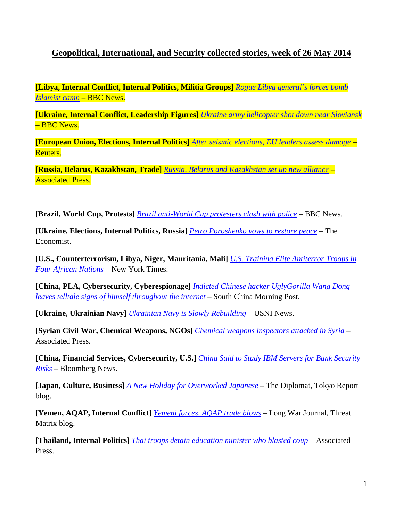## **Geopolitical, International, and Security collected stories, week of 26 May 2014**

**[Libya, Internal Conflict, Internal Politics, Militia Groups]** *[Rogue Libya general's forces bomb](http://www.bbc.com/news/world-africa-27610768)  [Islamist camp](http://www.bbc.com/news/world-africa-27610768)* – BBC News.

**[Ukraine, Internal Conflict, Leadership Figures]** *[Ukraine army helicopter shot down near Sloviansk](http://www.bbc.com/news/world-europe-27618681)* – BBC News.

**[European Union, Elections, Internal Politics]** *[After seismic elections, EU leaders assess damage](http://uk.reuters.com/article/2014/05/27/uk-eu-election-summit-idUKKBN0E70ZN20140527)* – Reuters.

**[Russia, Belarus, Kazakhstan, Trade]** *[Russia, Belarus and Kazakhstan set up new alliance](http://bigstory.ap.org/article/russia-belarus-and-kazakhstan-set-new-alliance)* – Associated Press.

**[Brazil, World Cup, Protests]** *[Brazil anti-World Cup protesters clash with police](http://www.bbc.com/news/world-latin-america-27598932)* – BBC News.

**[Ukraine, Elections, Internal Politics, Russia]** *[Petro Poroshenko vows to restore peace](http://www.economist.com/blogs/easternapproaches/2014/05/ukraines-election-0)* – The Economist.

**[U.S., Counterterrorism, Libya, Niger, Mauritania, Mali]** *[U.S. Training Elite Antiterror Troops in](http://www.nytimes.com/2014/05/27/world/africa/us-trains-african-commandos-to-fight-terrorism.html)  [Four African Nations](http://www.nytimes.com/2014/05/27/world/africa/us-trains-african-commandos-to-fight-terrorism.html)* – New York Times.

**[China, PLA, Cybersecurity, Cyberespionage]** *[Indicted Chinese hacker UglyGorilla Wang Dong](http://www.scmp.com/news/china/article/1519298/indicted-chinese-hacker-uglygorilla-wang-dong-leaves-telltale-signs)  [leaves telltale signs of himself throughout the internet](http://www.scmp.com/news/china/article/1519298/indicted-chinese-hacker-uglygorilla-wang-dong-leaves-telltale-signs)* – South China Morning Post.

**[Ukraine, Ukrainian Navy]** *[Ukrainian Navy is Slowly Rebuilding](http://news.usni.org/2014/05/22/ukrainian-navy-slowly-rebuilding)* – USNI News.

**[Syrian Civil War, Chemical Weapons, NGOs]** *[Chemical weapons inspectors attacked in Syria](http://www.chron.com/news/world/article/Chemical-weapons-inspectors-attacked-in-Syria-5506089.php)* – Associated Press.

**[China, Financial Services, Cybersecurity, U.S.]** *[China Said to Study IBM Servers for Bank Security](http://www.bloomberg.com/news/2014-05-27/china-said-to-push-banks-to-remove-ibm-servers-in-spy-dispute.html)  [Risks](http://www.bloomberg.com/news/2014-05-27/china-said-to-push-banks-to-remove-ibm-servers-in-spy-dispute.html)* – Bloomberg News.

**[Japan, Culture, Business]** *[A New Holiday for Overworked Japanese](http://thediplomat.com/2014/05/a-new-holiday-for-overworked-japanese/)* – The Diplomat, Tokyo Report blog.

**[Yemen, AQAP, Internal Conflict]** *[Yemeni forces, AQAP trade blows](http://www.longwarjournal.org/threat-matrix/archives/2014/05/yemeni_forces_aqap_trade_blows.php)* – Long War Journal, Threat Matrix blog.

**[Thailand, Internal Politics]** *[Thai troops detain education minister who blasted coup](http://www.usatoday.com/story/news/world/2014/05/27/thailand-coup-violence/9627545/)* – Associated Press.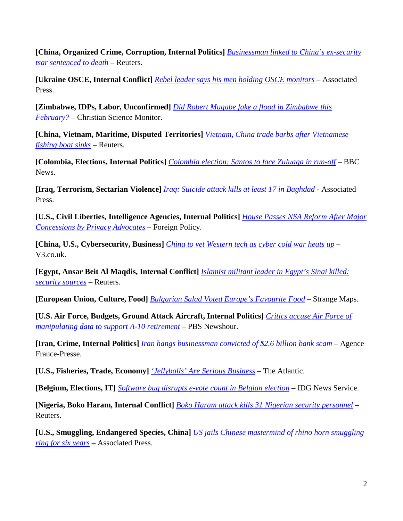**[China, Organized Crime, Corruption, Internal Politics]** *[Businessman linked to China's ex-security](http://www.reuters.com/article/2014/05/23/us-china-corruption-idUSBREA4M01L20140523)  [tsar sentenced to death](http://www.reuters.com/article/2014/05/23/us-china-corruption-idUSBREA4M01L20140523)* – Reuters.

**[Ukraine OSCE, Internal Conflict]** *[Rebel leader says his men holding OSCE monitors](http://www.businessweek.com/ap/2014-05-29/rebel-leader-says-his-men-holding-osce-monitors)* – Associated Press.

**[Zimbabwe, IDPs, Labor, Unconfirmed]** *[Did Robert Mugabe fake a flood in Zimbabwe this](http://www.csmonitor.com/World/2014/0522/Did-Robert-Mugabe-fake-a-flood-in-Zimbabwe-this-February-video)  [February?](http://www.csmonitor.com/World/2014/0522/Did-Robert-Mugabe-fake-a-flood-in-Zimbabwe-this-February-video)* – Christian Science Monitor.

**[China, Vietnam, Maritime, Disputed Territories]** *[Vietnam, China trade barbs after Vietnamese](http://www.reuters.com/article/2014/05/27/us-vietnam-china-idUSKBN0E70CF20140527)  [fishing boat sinks](http://www.reuters.com/article/2014/05/27/us-vietnam-china-idUSKBN0E70CF20140527)* – Reuters.

**[Colombia, Elections, Internal Politics]** *[Colombia election: Santos to face Zuluaga in run-off](http://www.bbc.com/news/world-latin-america-27567604)* – BBC News.

**[Iraq, Terrorism, Sectarian Violence]** *[Iraq: Suicide attack kills at least 17 in Baghdad](http://www.washingtonpost.com/world/middle_east/iraq-suicide-attack-kills-at-least-14-in-baghdad/2014/05/27/27079cf0-e597-11e3-a70e-ea1863229397_story.html)* - Associated Press.

**[U.S., Civil Liberties, Intelligence Agencies, Internal Politics]** *[House Passes NSA Reform After Major](http://thecable.foreignpolicy.com/posts/2014/05/22/house_passes_nsa_reform_after_major_concessions_by_privacy_advocates)  [Concessions by Privacy Advocates](http://thecable.foreignpolicy.com/posts/2014/05/22/house_passes_nsa_reform_after_major_concessions_by_privacy_advocates)* – Foreign Policy.

**[China, U.S., Cybersecurity, Business]** *[China to vet Western tech as cyber cold war heats up](http://www.v3.co.uk/v3-uk/news/2346455/china-to-vet-western-tech-as-cyber-cold-war-heats-up)* – V3.co.uk.

**[Egypt, Ansar Beit Al Maqdis, Internal Conflict]** *[Islamist militant leader in Egypt's Sinai killed:](http://www.reuters.com/article/2014/05/23/us-egypt-militant-idUSBREA4M0MI20140523)  [security sources](http://www.reuters.com/article/2014/05/23/us-egypt-militant-idUSBREA4M0MI20140523)* – Reuters.

**[European Union, Culture, Food]** *[Bulgarian Salad Voted Europe's Favourite Food](http://bigthink.com/strange-maps/658-bulgarian-salad-voted-europes-favourite-food)* – Strange Maps.

**[U.S. Air Force, Budgets, Ground Attack Aircraft, Internal Politics]** *[Critics accuse Air Force of](http://www.pbs.org/newshour/updates/critics-accuse-air-force-manipulating-data-support-10-retirement/)  [manipulating data to support A-10 retirement](http://www.pbs.org/newshour/updates/critics-accuse-air-force-manipulating-data-support-10-retirement/)* – PBS Newshour.

**[Iran, Crime, Internal Politics]** *[Iran hangs businessman convicted of \\$2.6 billion bank scam](http://www.abc.net.au/news/2014-05-24/iran-hangs-man-convicted-of-26-billion-bank-scam/5475958)* – Agence France-Presse.

**[U.S., Fisheries, Trade, Economy]** *['Jellyballs' Are Serious Business](http://www.theatlantic.com/business/archive/2014/05/jellyballs-are-serious-business/371338/)* – The Atlantic.

**[Belgium, Elections, IT]** *[Software bug disrupts e-vote count in Belgian election](http://www.networkworld.com/news/2014/052614-software-bug-disrupts-e-vote-count-281898.html)* – IDG News Service.

**[Nigeria, Boko Haram, Internal Conflict]** *[Boko Haram attack kills 31 Nigerian security personnel](http://www.reuters.com/article/2014/05/27/us-nigeria-violence-idUSKBN0E71Z820140527)* – Reuters.

**[U.S., Smuggling, Endangered Species, China]** *[US jails Chinese mastermind of rhino horn smuggling](http://www.scmp.com/news/world/article/1520590/us-jails-chinese-mastermind-rhino-horn-smuggling-ring-six-years)  [ring for six years](http://www.scmp.com/news/world/article/1520590/us-jails-chinese-mastermind-rhino-horn-smuggling-ring-six-years)* – Associated Press.